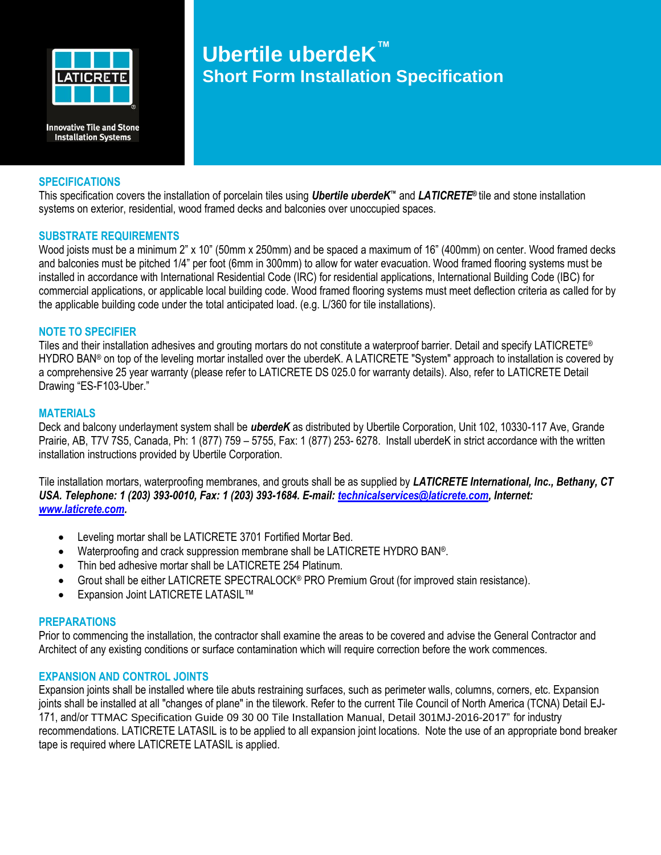

**Innovative Tile and Stone Installation Systems** 

### **SPECIFICATIONS**

# **Ubertile uberdeK ™ Short Form Installation Specification**

This specification covers the installation of porcelain tiles using *Ubertile uberdeK™* and *LATICRETE®* tile and stone installation systems on exterior, residential, wood framed decks and balconies over unoccupied spaces.

#### **SUBSTRATE REQUIREMENTS**

Wood joists must be a minimum 2" x 10" (50mm x 250mm) and be spaced a maximum of 16" (400mm) on center. Wood framed decks and balconies must be pitched 1/4" per foot (6mm in 300mm) to allow for water evacuation. Wood framed flooring systems must be installed in accordance with International Residential Code (IRC) for residential applications, International Building Code (IBC) for commercial applications, or applicable local building code. Wood framed flooring systems must meet deflection criteria as called for by the applicable building code under the total anticipated load. (e.g. L/360 for tile installations).

# **NOTE TO SPECIFIER**

Tiles and their installation adhesives and grouting mortars do not constitute a waterproof barrier. Detail and specify LATICRETE® HYDRO BAN® on top of the leveling mortar installed over the uberdeK. A LATICRETE "System" approach to installation is covered by a comprehensive 25 year warranty (please refer to LATICRETE DS 025.0 for warranty details). Also, refer to LATICRETE Detail Drawing "ES-F103-Uber."

#### **MATERIALS**

Deck and balcony underlayment system shall be *uberdeK* as distributed by Ubertile Corporation, Unit 102, 10330-117 Ave, Grande Prairie, AB, T7V 7S5, Canada, Ph: 1 (877) 759 – 5755, Fax: 1 (877) 253- 6278. Install uberdeK in strict accordance with the written installation instructions provided by Ubertile Corporation.

Tile installation mortars, waterproofing membranes, and grouts shall be as supplied by *LATICRETE International, Inc., Bethany, CT USA. Telephone: 1 (203) 393-0010, Fax: 1 (203) 393-1684. E-mail: [technicalservices@laticrete.com,](mailto:technicalservices@laticrete.com) Internet: [www.laticrete.com.](http://www.laticrete.com/)* 

- Leveling mortar shall be LATICRETE 3701 Fortified Mortar Bed.
- Waterproofing and crack suppression membrane shall be LATICRETE HYDRO BAN®.
- Thin bed adhesive mortar shall be LATICRETE 254 Platinum.
- Grout shall be either LATICRETE SPECTRALOCK® PRO Premium Grout (for improved stain resistance).
- Expansion Joint LATICRETE LATASIL™

# **PREPARATIONS**

Prior to commencing the installation, the contractor shall examine the areas to be covered and advise the General Contractor and Architect of any existing conditions or surface contamination which will require correction before the work commences.

# **EXPANSION AND CONTROL JOINTS**

Expansion joints shall be installed where tile abuts restraining surfaces, such as perimeter walls, columns, corners, etc. Expansion joints shall be installed at all "changes of plane" in the tilework. Refer to the current Tile Council of North America (TCNA) Detail EJ-171, and/or TTMAC Specification Guide 09 30 00 Tile Installation Manual, Detail 301MJ-2016-2017" for industry recommendations. LATICRETE LATASIL is to be applied to all expansion joint locations. Note the use of an appropriate bond breaker tape is required where LATICRETE LATASIL is applied.